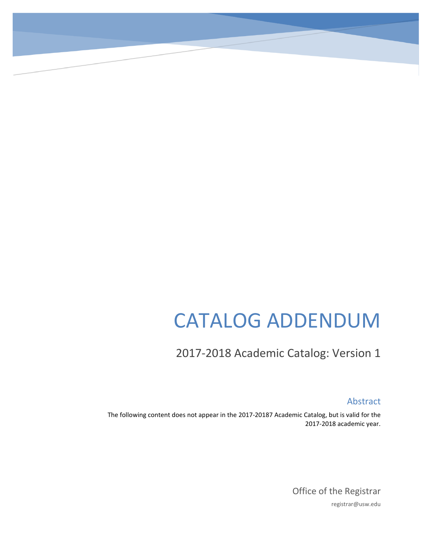# CATALOG ADDENDUM

## 2017-2018 Academic Catalog: Version 1

Abstract

The following content does not appear in the 2017-20187 Academic Catalog, but is valid for the 2017-2018 academic year.

> Office of the Registrar registrar@usw.edu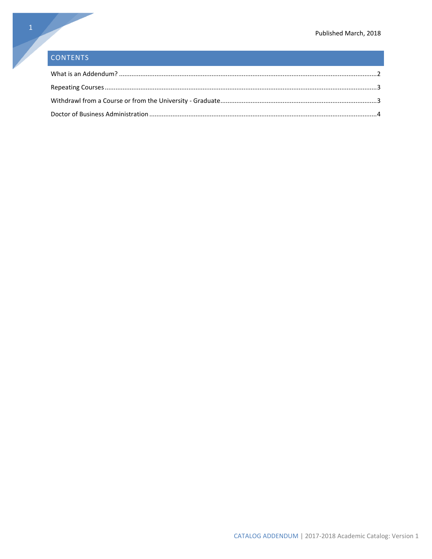### CONTENTS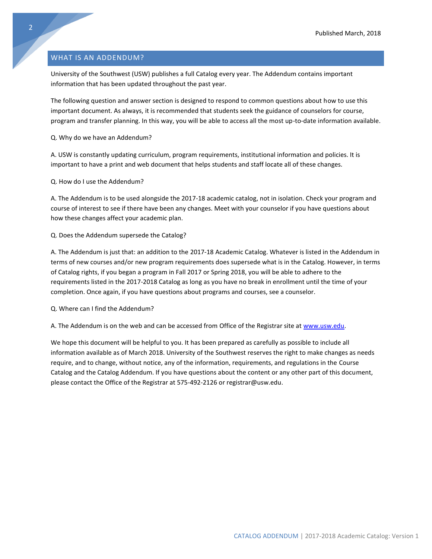#### <span id="page-2-0"></span>WHAT IS AN ADDENDUM?

University of the Southwest (USW) publishes a full Catalog every year. The Addendum contains important information that has been updated throughout the past year.

The following question and answer section is designed to respond to common questions about how to use this important document. As always, it is recommended that students seek the guidance of counselors for course, program and transfer planning. In this way, you will be able to access all the most up-to-date information available.

Q. Why do we have an Addendum?

A. USW is constantly updating curriculum, program requirements, institutional information and policies. It is important to have a print and web document that helps students and staff locate all of these changes.

Q. How do I use the Addendum?

A. The Addendum is to be used alongside the 2017-18 academic catalog, not in isolation. Check your program and course of interest to see if there have been any changes. Meet with your counselor if you have questions about how these changes affect your academic plan.

#### Q. Does the Addendum supersede the Catalog?

A. The Addendum is just that: an addition to the 2017-18 Academic Catalog. Whatever is listed in the Addendum in terms of new courses and/or new program requirements does supersede what is in the Catalog. However, in terms of Catalog rights, if you began a program in Fall 2017 or Spring 2018, you will be able to adhere to the requirements listed in the 2017-2018 Catalog as long as you have no break in enrollment until the time of your completion. Once again, if you have questions about programs and courses, see a counselor.

Q. Where can I find the Addendum?

A. The Addendum is on the web and can be accessed from Office of the Registrar site at [www.usw.edu.](http://www.usw.edu/)

We hope this document will be helpful to you. It has been prepared as carefully as possible to include all information available as of March 2018. University of the Southwest reserves the right to make changes as needs require, and to change, without notice, any of the information, requirements, and regulations in the Course Catalog and the Catalog Addendum. If you have questions about the content or any other part of this document, please contact the Office of the Registrar at 575-492-2126 or registrar@usw.edu.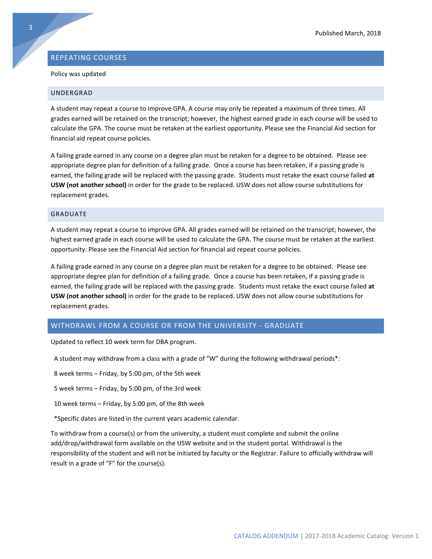#### <span id="page-3-0"></span>REPEATING COURSES

#### Policy was updated

#### UNDERGRAD

A student may repeat a course to improve GPA. A course may only be repeated a maximum of three times. All grades earned will be retained on the transcript; however, the highest earned grade in each course will be used to calculate the GPA. The course must be retaken at the earliest opportunity. Please see the Financial Aid section for financial aid repeat course policies.

A failing grade earned in any course on a degree plan must be retaken for a degree to be obtained. Please see appropriate degree plan for definition of a failing grade. Once a course has been retaken, if a passing grade is earned, the failing grade will be replaced with the passing grade. Students must retake the exact course failed **at USW (not another school)** in order for the grade to be replaced. USW does not allow course substitutions for replacement grades.

#### GRADUATE

A student may repeat a course to improve GPA. All grades earned will be retained on the transcript; however, the highest earned grade in each course will be used to calculate the GPA. The course must be retaken at the earliest opportunity. Please see the Financial Aid section for financial aid repeat course policies.

A failing grade earned in any course on a degree plan must be retaken for a degree to be obtained. Please see appropriate degree plan for definition of a failing grade. Once a course has been retaken, if a passing grade is earned, the failing grade will be replaced with the passing grade. Students must retake the exact course failed **at USW (not another school)** in order for the grade to be replaced. USW does not allow course substitutions for replacement grades.

#### <span id="page-3-1"></span>WITHDRAWL FROM A COURSE OR FROM THE UNIVERSITY - GRADUATE

Updated to reflect 10 week term for DBA program.

A student may withdraw from a class with a grade of "W" during the following withdrawal periods\*:

8 week terms – Friday, by 5:00 pm, of the 5th week

5 week terms – Friday, by 5:00 pm, of the 3rd week

10 week terms – Friday, by 5:00 pm, of the 8th week

\*Specific dates are listed in the current years academic calendar.

To withdraw from a course(s) or from the university, a student must complete and submit the online add/drop/withdrawal form available on the USW website and in the student portal. Withdrawal is the responsibility of the student and will not be initiated by faculty or the Registrar. Failure to officially withdraw will result in a grade of "F" for the course(s).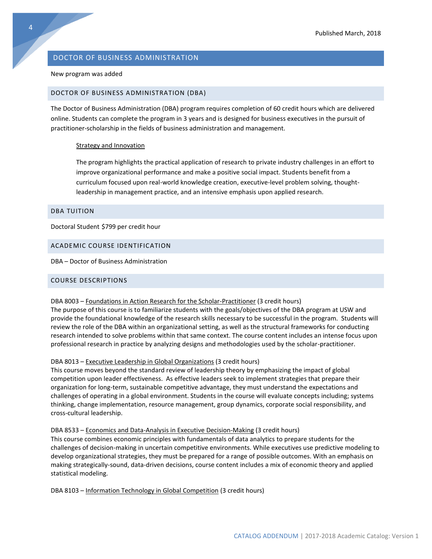#### <span id="page-4-0"></span>DOCTOR OF BUSINESS ADMINISTRATION

#### New program was added

#### DOCTOR OF BUSINESS ADMINISTRATION (DBA)

The Doctor of Business Administration (DBA) program requires completion of 60 credit hours which are delivered online. Students can complete the program in 3 years and is designed for business executives in the pursuit of practitioner-scholarship in the fields of business administration and management.

#### Strategy and Innovation

The program highlights the practical application of research to private industry challenges in an effort to improve organizational performance and make a positive social impact. Students benefit from a curriculum focused upon real-world knowledge creation, executive-level problem solving, thoughtleadership in management practice, and an intensive emphasis upon applied research.

#### DBA TUITION

Doctoral Student \$799 per credit hour

#### ACADEMIC COURSE IDENTIFICATION

DBA – Doctor of Business Administration

#### COURSE DESCRIPTIONS

#### DBA 8003 – Foundations in Action Research for the Scholar-Practitioner (3 credit hours)

The purpose of this course is to familiarize students with the goals/objectives of the DBA program at USW and provide the foundational knowledge of the research skills necessary to be successful in the program. Students will review the role of the DBA within an organizational setting, as well as the structural frameworks for conducting research intended to solve problems within that same context. The course content includes an intense focus upon professional research in practice by analyzing designs and methodologies used by the scholar-practitioner.

#### DBA 8013 – Executive Leadership in Global Organizations (3 credit hours)

This course moves beyond the standard review of leadership theory by emphasizing the impact of global competition upon leader effectiveness. As effective leaders seek to implement strategies that prepare their organization for long-term, sustainable competitive advantage, they must understand the expectations and challenges of operating in a global environment. Students in the course will evaluate concepts including; systems thinking, change implementation, resource management, group dynamics, corporate social responsibility, and cross-cultural leadership.

#### DBA 8533 – Economics and Data-Analysis in Executive Decision-Making (3 credit hours)

This course combines economic principles with fundamentals of data analytics to prepare students for the challenges of decision-making in uncertain competitive environments. While executives use predictive modeling to develop organizational strategies, they must be prepared for a range of possible outcomes. With an emphasis on making strategically-sound, data-driven decisions, course content includes a mix of economic theory and applied statistical modeling.

DBA 8103 – Information Technology in Global Competition (3 credit hours)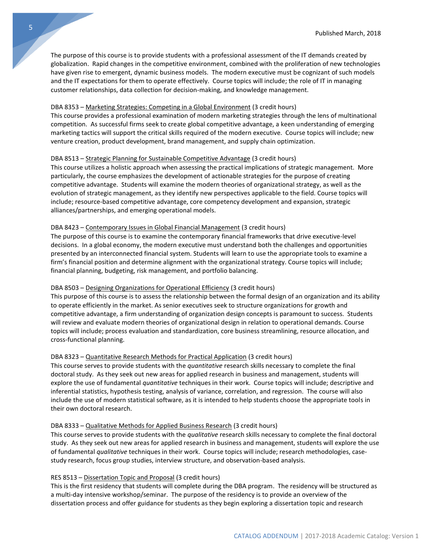The purpose of this course is to provide students with a professional assessment of the IT demands created by globalization. Rapid changes in the competitive environment, combined with the proliferation of new technologies have given rise to emergent, dynamic business models. The modern executive must be cognizant of such models and the IT expectations for them to operate effectively. Course topics will include; the role of IT in managing customer relationships, data collection for decision-making, and knowledge management.

#### DBA 8353 – Marketing Strategies: Competing in a Global Environment (3 credit hours)

This course provides a professional examination of modern marketing strategies through the lens of multinational competition. As successful firms seek to create global competitive advantage, a keen understanding of emerging marketing tactics will support the critical skills required of the modern executive. Course topics will include; new venture creation, product development, brand management, and supply chain optimization.

#### DBA 8513 – Strategic Planning for Sustainable Competitive Advantage (3 credit hours)

This course utilizes a holistic approach when assessing the practical implications of strategic management. More particularly, the course emphasizes the development of actionable strategies for the purpose of creating competitive advantage. Students will examine the modern theories of organizational strategy, as well as the evolution of strategic management, as they identify new perspectives applicable to the field. Course topics will include; resource-based competitive advantage, core competency development and expansion, strategic alliances/partnerships, and emerging operational models.

#### DBA 8423 – Contemporary Issues in Global Financial Management (3 credit hours)

The purpose of this course is to examine the contemporary financial frameworks that drive executive-level decisions. In a global economy, the modern executive must understand both the challenges and opportunities presented by an interconnected financial system. Students will learn to use the appropriate tools to examine a firm's financial position and determine alignment with the organizational strategy. Course topics will include; financial planning, budgeting, risk management, and portfolio balancing.

#### DBA 8503 – Designing Organizations for Operational Efficiency (3 credit hours)

This purpose of this course is to assess the relationship between the formal design of an organization and its ability to operate efficiently in the market. As senior executives seek to structure organizations for growth and competitive advantage, a firm understanding of organization design concepts is paramount to success. Students will review and evaluate modern theories of organizational design in relation to operational demands. Course topics will include; process evaluation and standardization, core business streamlining, resource allocation, and cross-functional planning.

#### DBA 8323 – Quantitative Research Methods for Practical Application (3 credit hours)

This course serves to provide students with the *quantitative* research skills necessary to complete the final doctoral study. As they seek out new areas for applied research in business and management, students will explore the use of fundamental *quantitative* techniques in their work. Course topics will include; descriptive and inferential statistics, hypothesis testing, analysis of variance, correlation, and regression. The course will also include the use of modern statistical software, as it is intended to help students choose the appropriate tools in their own doctoral research.

#### DBA 8333 – Qualitative Methods for Applied Business Research (3 credit hours)

This course serves to provide students with the *qualitative* research skills necessary to complete the final doctoral study. As they seek out new areas for applied research in business and management, students will explore the use of fundamental *qualitative* techniques in their work. Course topics will include; research methodologies, casestudy research, focus group studies, interview structure, and observation-based analysis.

#### RES 8513 – Dissertation Topic and Proposal (3 credit hours)

This is the first residency that students will complete during the DBA program. The residency will be structured as a multi-day intensive workshop/seminar. The purpose of the residency is to provide an overview of the dissertation process and offer guidance for students as they begin exploring a dissertation topic and research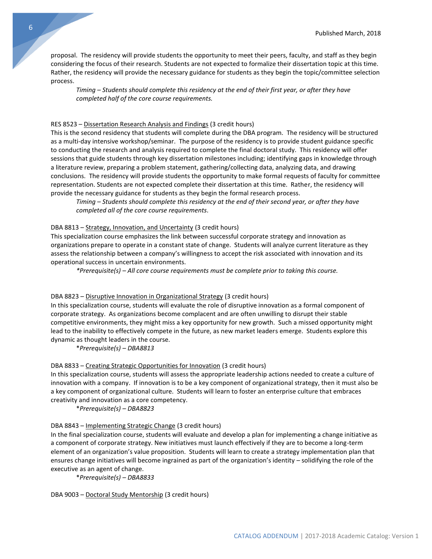proposal. The residency will provide students the opportunity to meet their peers, faculty, and staff as they begin considering the focus of their research. Students are not expected to formalize their dissertation topic at this time. Rather, the residency will provide the necessary guidance for students as they begin the topic/committee selection process.

*Timing – Students should complete this residency at the end of their first year, or after they have completed half of the core course requirements.*

#### RES 8523 – Dissertation Research Analysis and Findings (3 credit hours)

This is the second residency that students will complete during the DBA program. The residency will be structured as a multi-day intensive workshop/seminar. The purpose of the residency is to provide student guidance specific to conducting the research and analysis required to complete the final doctoral study. This residency will offer sessions that guide students through key dissertation milestones including; identifying gaps in knowledge through a literature review, preparing a problem statement, gathering/collecting data, analyzing data, and drawing conclusions. The residency will provide students the opportunity to make formal requests of faculty for committee representation. Students are not expected complete their dissertation at this time. Rather, the residency will provide the necessary guidance for students as they begin the formal research process.

*Timing – Students should complete this residency at the end of their second year, or after they have completed all of the core course requirements.*

#### DBA 8813 – Strategy, Innovation, and Uncertainty (3 credit hours)

This specialization course emphasizes the link between successful corporate strategy and innovation as organizations prepare to operate in a constant state of change. Students will analyze current literature as they assess the relationship between a company's willingness to accept the risk associated with innovation and its operational success in uncertain environments.

*\*Prerequisite(s) – All core course requirements must be complete prior to taking this course.*

#### DBA 8823 – Disruptive Innovation in Organizational Strategy (3 credit hours)

In this specialization course, students will evaluate the role of disruptive innovation as a formal component of corporate strategy. As organizations become complacent and are often unwilling to disrupt their stable competitive environments, they might miss a key opportunity for new growth. Such a missed opportunity might lead to the inability to effectively compete in the future, as new market leaders emerge. Students explore this dynamic as thought leaders in the course.

\**Prerequisite(s) – DBA8813*

#### DBA 8833 – Creating Strategic Opportunities for Innovation (3 credit hours)

In this specialization course, students will assess the appropriate leadership actions needed to create a culture of innovation with a company. If innovation is to be a key component of organizational strategy, then it must also be a key component of organizational culture. Students will learn to foster an enterprise culture that embraces creativity and innovation as a core competency.

\**Prerequisite(s) – DBA8823*

#### DBA 8843 – Implementing Strategic Change (3 credit hours)

In the final specialization course, students will evaluate and develop a plan for implementing a change initiative as a component of corporate strategy. New initiatives must launch effectively if they are to become a long-term element of an organization's value proposition. Students will learn to create a strategy implementation plan that ensures change initiatives will become ingrained as part of the organization's identity – solidifying the role of the executive as an agent of change.

\**Prerequisite(s) – DBA8833*

DBA 9003 – Doctoral Study Mentorship (3 credit hours)